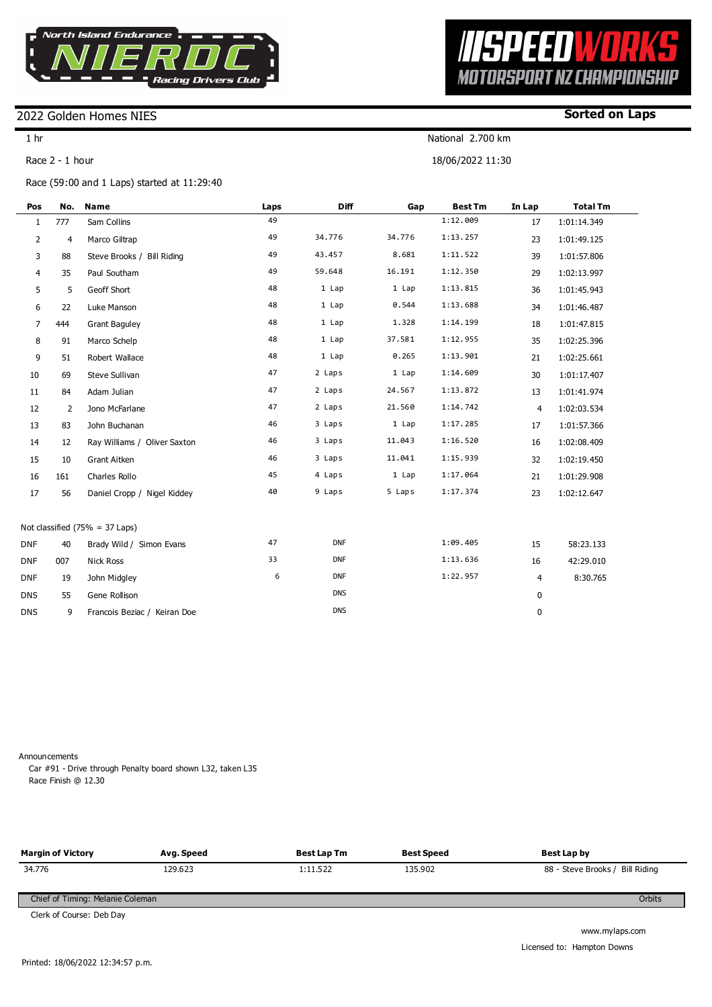

## 2022 Golden Homes NIES

 $1<sub>hr</sub>$ 

Race 2 - 1 hour

Race (59:00 and 1 Laps) started at 11:29:40

| Pos                               | No.            | <b>Name</b>                  | Laps | <b>Diff</b> | Gap    | <b>Best Tm</b> | In Lap         | <b>Total Tm</b> |
|-----------------------------------|----------------|------------------------------|------|-------------|--------|----------------|----------------|-----------------|
| 1                                 | 777            | Sam Collins                  | 49   |             |        | 1:12.009       | 17             | 1:01:14.349     |
| $\overline{2}$                    | $\overline{4}$ | Marco Giltrap                | 49   | 34.776      | 34.776 | 1:13.257       | 23             | 1:01:49.125     |
| 3                                 | 88             | Steve Brooks / Bill Riding   | 49   | 43.457      | 8.681  | 1:11.522       | 39             | 1:01:57.806     |
| 4                                 | 35             | Paul Southam                 | 49   | 59.648      | 16.191 | 1:12.350       | 29             | 1:02:13.997     |
| 5                                 | 5              | Geoff Short                  | 48   | 1 Lap       | 1 Lap  | 1:13.815       | 36             | 1:01:45.943     |
| 6                                 | 22             | Luke Manson                  | 48   | 1 Lap       | 0.544  | 1:13.688       | 34             | 1:01:46.487     |
| $\overline{7}$                    | 444            | <b>Grant Baguley</b>         | 48   | 1 Lap       | 1.328  | 1:14.199       | 18             | 1:01:47.815     |
| 8                                 | 91             | Marco Schelp                 | 48   | 1 Lap       | 37.581 | 1:12.955       | 35             | 1:02:25.396     |
| 9                                 | 51             | Robert Wallace               | 48   | 1 Lap       | 0.265  | 1:13.901       | 21             | 1:02:25.661     |
| 10                                | 69             | Steve Sullivan               | 47   | 2 Laps      | 1 Lap  | 1:14.609       | 30             | 1:01:17.407     |
| 11                                | 84             | Adam Julian                  | 47   | 2 Laps      | 24.567 | 1:13.872       | 13             | 1:01:41.974     |
| 12                                | 2              | Jono McFarlane               | 47   | 2 Laps      | 21.560 | 1:14.742       | $\overline{4}$ | 1:02:03.534     |
| 13                                | 83             | John Buchanan                | 46   | 3 Laps      | 1 Lap  | 1:17.285       | 17             | 1:01:57.366     |
| 14                                | 12             | Ray Williams / Oliver Saxton | 46   | 3 Laps      | 11.043 | 1:16.520       | 16             | 1:02:08.409     |
| 15                                | 10             | Grant Aitken                 | 46   | 3 Laps      | 11.041 | 1:15.939       | 32             | 1:02:19.450     |
| 16                                | 161            | Charles Rollo                | 45   | 4 Laps      | 1 Lap  | 1:17.064       | 21             | 1:01:29.908     |
| 17                                | 56             | Daniel Cropp / Nigel Kiddey  | 40   | 9 Laps      | 5 Laps | 1:17.374       | 23             | 1:02:12.647     |
| Not classified $(75\% = 37$ Laps) |                |                              |      |             |        |                |                |                 |
| <b>DNF</b>                        | 40             | Brady Wild / Simon Evans     | 47   | <b>DNF</b>  |        | 1:09.405       | 15             | 58:23.133       |
| <b>DNF</b>                        | 007            | <b>Nick Ross</b>             | 33   | <b>DNF</b>  |        | 1:13.636       | 16             | 42:29.010       |
| <b>DNF</b>                        | 19             | John Midgley                 | 6    | <b>DNF</b>  |        | 1:22.957       | 4              | 8:30.765        |
| <b>DNS</b>                        | 55             | Gene Rollison                |      | <b>DNS</b>  |        |                | 0              |                 |
| <b>DNS</b>                        | 9              | Francois Beziac / Keiran Doe |      | <b>DNS</b>  |        |                | 0              |                 |

Announcements

Car #91 - Drive through Penalty board shown L32, taken L35 Race Finish @ 12.30

| <b>Margin of Victory</b>                   | Avg. Speed | <b>Best Lap Tm</b> | <b>Best Speed</b> | Best Lap by                     |  |  |  |  |
|--------------------------------------------|------------|--------------------|-------------------|---------------------------------|--|--|--|--|
| 34.776                                     | 129.623    | 1:11.522           | 135.902           | 88 - Steve Brooks / Bill Riding |  |  |  |  |
| Orbits<br>Chief of Timing: Melanie Coleman |            |                    |                   |                                 |  |  |  |  |
| Clerk of Course: Deb Day                   |            |                    |                   |                                 |  |  |  |  |

# 18/06/2022 11:30

National 2.700 km

www.mylaps.com Licensed to: Hampton Downs

SPEED VI ן ן *MOTORSPORT NZ CHAMPIONSHIP* 

**Sorted on Laps**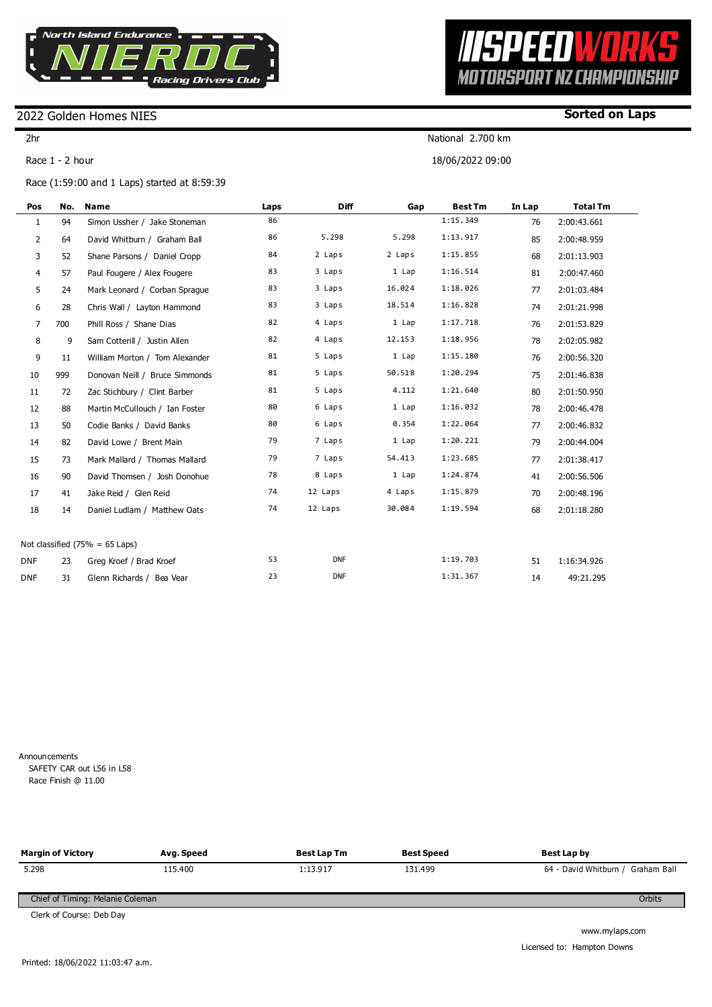

## 2022 Golden Homes NIES

2hr

Race 1 - 2 hour

Race (1:59:00 and 1 Laps) started at 8:59:39

| Pos            | No. | <b>Name</b>                       | Laps | <b>Diff</b> | Gap    | <b>Best Tm</b> | In Lap | <b>Total Tm</b> |
|----------------|-----|-----------------------------------|------|-------------|--------|----------------|--------|-----------------|
| $\mathbf{1}$   | 94  | Simon Ussher / Jake Stoneman      | 86   |             |        | 1:15.349       | 76     | 2:00:43.661     |
| $\overline{2}$ | 64  | David Whitburn / Graham Ball      | 86   | 5.298       | 5.298  | 1:13.917       | 85     | 2:00:48.959     |
| 3              | 52  | Shane Parsons / Daniel Cropp      | 84   | 2 Laps      | 2 Laps | 1:15.855       | 68     | 2:01:13.903     |
| 4              | 57  | Paul Fougere / Alex Fougere       | 83   | 3 Laps      | 1 Lap  | 1:16.514       | 81     | 2:00:47.460     |
| 5              | 24  | Mark Leonard / Corban Sprague     | 83   | 3 Laps      | 16.024 | 1:18.026       | 77     | 2:01:03.484     |
| 6              | 28  | Chris Wall / Layton Hammond       | 83   | 3 Laps      | 18.514 | 1:16.828       | 74     | 2:01:21.998     |
| $\overline{7}$ | 700 | Phill Ross / Shane Dias           | 82   | 4 Laps      | 1 Lap  | 1:17.718       | 76     | 2:01:53.829     |
| 8              | 9   | Sam Cotterill / Justin Allen      | 82   | 4 Laps      | 12.153 | 1:18.956       | 78     | 2:02:05.982     |
| 9              | 11  | William Morton / Tom Alexander    | 81   | 5 Laps      | 1 Lap  | 1:15.180       | 76     | 2:00:56.320     |
| 10             | 999 | Donovan Neill / Bruce Simmonds    | 81   | 5 Laps      | 50.518 | 1:20.294       | 75     | 2:01:46.838     |
| 11             | 72  | Zac Stichbury / Clint Barber      | 81   | 5 Laps      | 4.112  | 1:21.640       | 80     | 2:01:50.950     |
| 12             | 88  | Martin McCullouch / Ian Foster    | 80   | 6 Laps      | 1 Lap  | 1:16.032       | 78     | 2:00:46.478     |
| 13             | 50  | Codie Banks / David Banks         | 80   | 6 Laps      | 0.354  | 1:22.064       | 77     | 2:00:46.832     |
| 14             | 82  | David Lowe / Brent Main           | 79   | 7 Laps      | 1 Lap  | 1:20.221       | 79     | 2:00:44.004     |
| 15             | 73  | Mark Mallard / Thomas Mallard     | 79   | 7 Laps      | 54.413 | 1:23.685       | 77     | 2:01:38.417     |
| 16             | 90  | David Thomsen / Josh Donohue      | 78   | 8 Laps      | 1 Lap  | 1:24.874       | 41     | 2:00:56.506     |
| 17             | 41  | Jake Reid / Glen Reid             | 74   | 12 Laps     | 4 Laps | 1:15.879       | 70     | 2:00:48.196     |
| 18             | 14  | Daniel Ludlam / Matthew Oats      | 74   | 12 Laps     | 30.084 | 1:19.594       | 68     | 2:01:18.280     |
|                |     |                                   |      |             |        |                |        |                 |
|                |     | Not classified $(75\% = 65$ Laps) |      |             |        |                |        |                 |
| <b>DNF</b>     | 23  | Greg Kroef / Brad Kroef           | 53   | <b>DNF</b>  |        | 1:19.703       | 51     | 1:16:34.926     |
| <b>DNF</b>     | 31  | Glenn Richards / Bea Vear         | 23   | <b>DNF</b>  |        | 1:31.367       | 14     | 49:21.295       |

Announcements SAFETY CAR out L56 in L58 Race Finish @ 11.00

| <b>Margin of Victory</b>         | Avg. Speed | Best Lap Tm | <b>Best Speed</b> | Best Lap by                       |
|----------------------------------|------------|-------------|-------------------|-----------------------------------|
| 5.298                            | 115,400    | 1:13.917    | 131.499           | 64 - David Whitburn / Graham Ball |
| Chief of Timing: Melanie Coleman |            |             |                   | <b>Orbits</b>                     |
| Clerk of Course: Deb Day         |            |             |                   |                                   |





National 2.700 km 18/06/2022 09:00

> www.mylaps.com Licensed to: Hampton Downs